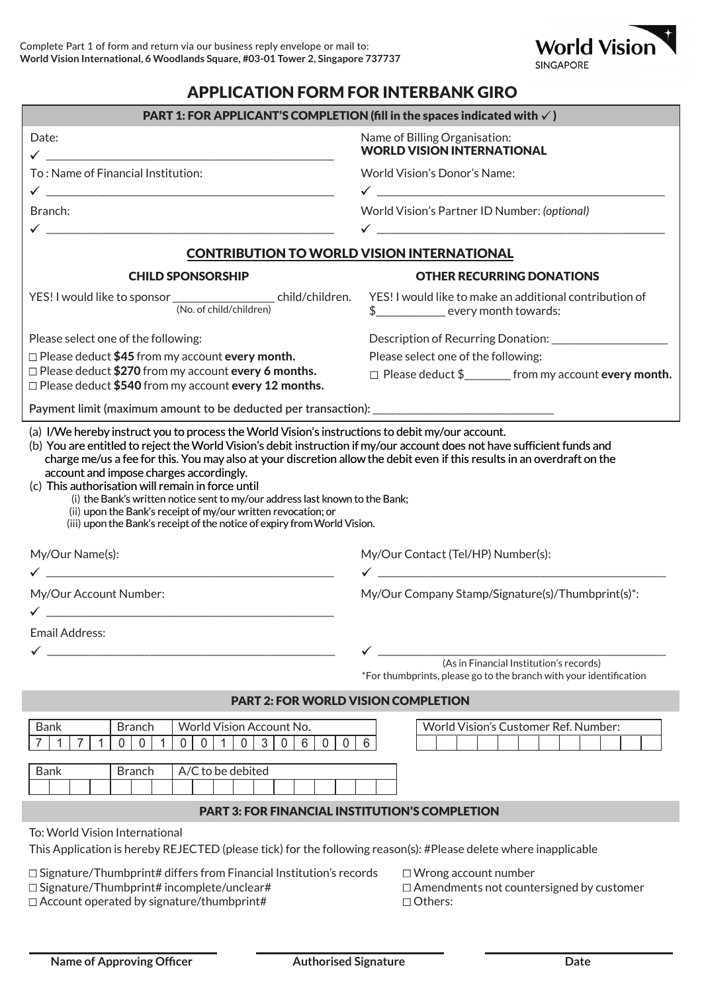

## APPLICATION FORM FOR INTERBANK GIRO

| PART 1: FOR APPLICANT'S COMPLETION (fill in the spaces indicated with $\checkmark$ )                                                                                                                                                                                                                                                                                                                                                                                                                                                                                              |                                                                                                                                                            |
|-----------------------------------------------------------------------------------------------------------------------------------------------------------------------------------------------------------------------------------------------------------------------------------------------------------------------------------------------------------------------------------------------------------------------------------------------------------------------------------------------------------------------------------------------------------------------------------|------------------------------------------------------------------------------------------------------------------------------------------------------------|
| Date:                                                                                                                                                                                                                                                                                                                                                                                                                                                                                                                                                                             | Name of Billing Organisation:<br><b>WORLD VISION INTERNATIONAL</b>                                                                                         |
| To: Name of Financial Institution:                                                                                                                                                                                                                                                                                                                                                                                                                                                                                                                                                | World Vision's Donor's Name:                                                                                                                               |
| Branch:                                                                                                                                                                                                                                                                                                                                                                                                                                                                                                                                                                           | World Vision's Partner ID Number: (optional)                                                                                                               |
|                                                                                                                                                                                                                                                                                                                                                                                                                                                                                                                                                                                   |                                                                                                                                                            |
| <b>CONTRIBUTION TO WORLD VISION INTERNATIONAL</b>                                                                                                                                                                                                                                                                                                                                                                                                                                                                                                                                 |                                                                                                                                                            |
| <b>CHILD SPONSORSHIP</b>                                                                                                                                                                                                                                                                                                                                                                                                                                                                                                                                                          | <b>OTHER RECURRING DONATIONS</b>                                                                                                                           |
| YES! I would like to sponsor ____________________ child/children.<br>(No. of child/children)                                                                                                                                                                                                                                                                                                                                                                                                                                                                                      | YES! I would like to make an additional contribution of<br>$$$ ________________ every month towards:                                                       |
| Please select one of the following:                                                                                                                                                                                                                                                                                                                                                                                                                                                                                                                                               |                                                                                                                                                            |
| $\Box$ Please deduct \$45 from my account every month.<br>$\Box$ Please deduct \$270 from my account every 6 months.                                                                                                                                                                                                                                                                                                                                                                                                                                                              | Please select one of the following:                                                                                                                        |
| $\Box$ Please deduct \$540 from my account every 12 months.                                                                                                                                                                                                                                                                                                                                                                                                                                                                                                                       | □ Please deduct \$_________ from my account every month.                                                                                                   |
|                                                                                                                                                                                                                                                                                                                                                                                                                                                                                                                                                                                   |                                                                                                                                                            |
| (b) You are entitled to reject the World Vision's debit instruction if my/our account does not have sufficient funds and<br>charge me/us a fee for this. You may also at your discretion allow the debit even if this results in an overdraft on the<br>account and impose charges accordingly.<br>(c) This authorisation will remain in force until<br>(i) the Bank's written notice sent to my/our address last known to the Bank;<br>(ii) upon the Bank's receipt of my/our written revocation; or<br>(iii) upon the Bank's receipt of the notice of expiry from World Vision. |                                                                                                                                                            |
| My/Our Name(s):                                                                                                                                                                                                                                                                                                                                                                                                                                                                                                                                                                   | My/Our Contact (Tel/HP) Number(s):<br><u> 1980 - Jan James James Barnett, amerikan bisa di sebagai pertama di sebagai pertama di sebagai pertama di se</u> |
| My/Our Account Number:                                                                                                                                                                                                                                                                                                                                                                                                                                                                                                                                                            | My/Our Company Stamp/Signature(s)/Thumbprint(s)*:                                                                                                          |
| <u> 1980 - Johann Barn, mars ann an t-Amhain an t-Amhain an t-Amhain an t-Amhain an t-Amhain an t-Amhain an t-Amh</u><br>Email Address:                                                                                                                                                                                                                                                                                                                                                                                                                                           |                                                                                                                                                            |
|                                                                                                                                                                                                                                                                                                                                                                                                                                                                                                                                                                                   |                                                                                                                                                            |
|                                                                                                                                                                                                                                                                                                                                                                                                                                                                                                                                                                                   | (As in Financial Institution's records)<br>*For thumbprints, please go to the branch with your identification                                              |
| <b>PART 2: FOR WORLD VISION COMPLETION</b>                                                                                                                                                                                                                                                                                                                                                                                                                                                                                                                                        |                                                                                                                                                            |
| World Vision Account No.<br><b>Bank</b><br><b>Branch</b><br>$\bar{1}$<br>$\mathbf 0$<br>$\mathbf{3}$<br>7<br>$\mathbf 0$<br>$\mathbf 0$<br>$\mathbf 0$<br>6<br>$\mathbf 0$<br>$\mathbf 0$<br>$\mathbf 1$<br>7<br>0<br>$\mathbf 0$                                                                                                                                                                                                                                                                                                                                                 | World Vision's Customer Ref. Number:<br>6                                                                                                                  |
| A/C to be debited<br><b>Bank</b><br><b>Branch</b>                                                                                                                                                                                                                                                                                                                                                                                                                                                                                                                                 |                                                                                                                                                            |
| <b>PART 3: FOR FINANCIAL INSTITUTION'S COMPLETION</b>                                                                                                                                                                                                                                                                                                                                                                                                                                                                                                                             |                                                                                                                                                            |
| To: World Vision International<br>This Application is hereby REJECTED (please tick) for the following reason(s): #Please delete where inapplicable                                                                                                                                                                                                                                                                                                                                                                                                                                |                                                                                                                                                            |
| $\Box$ Signature/Thumbprint# differs from Financial Institution's records<br>$\Box$ Signature/Thumbprint# incomplete/unclear#<br>$\Box$ Account operated by signature/thumbprint#                                                                                                                                                                                                                                                                                                                                                                                                 | $\Box$ Wrong account number<br>□ Amendments not countersigned by customer<br>$\Box$ Others:                                                                |